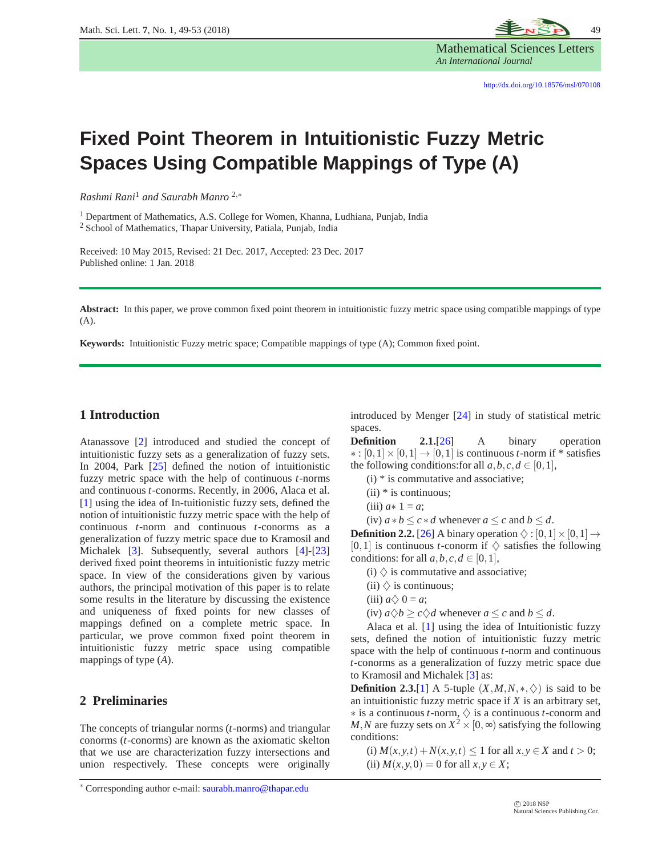

Mathematical Sciences Letters *An International Journal*

# **Fixed Point Theorem in Intuitionistic Fuzzy Metric Spaces Using Compatible Mappings of Type (A)**

*Rashmi Rani*<sup>1</sup> *and Saurabh Manro* <sup>2</sup>,<sup>∗</sup>

<sup>1</sup> Department of Mathematics, A.S. College for Women, Khanna, Ludhiana, Punjab, India <sup>2</sup> School of Mathematics, Thapar University, Patiala, Punjab, India

Received: 10 May 2015, Revised: 21 Dec. 2017, Accepted: 23 Dec. 2017 Published online: 1 Jan. 2018

**Abstract:** In this paper, we prove common fixed point theorem in intuitionistic fuzzy metric space using compatible mappings of type (A).

**Keywords:** Intuitionistic Fuzzy metric space; Compatible mappings of type (A); Common fixed point.

## **1 Introduction**

Atanassove [\[2\]](#page-3-0) introduced and studied the concept of intuitionistic fuzzy sets as a generalization of fuzzy sets. In 2004, Park [\[25\]](#page-4-0) defined the notion of intuitionistic fuzzy metric space with the help of continuous *t*-norms and continuous *t*-conorms. Recently, in 2006, Alaca et al. [\[1\]](#page-3-1) using the idea of In-tuitionistic fuzzy sets, defined the notion of intuitionistic fuzzy metric space with the help of continuous *t*-norm and continuous *t*-conorms as a generalization of fuzzy metric space due to Kramosil and Michalek [\[3\]](#page-3-2). Subsequently, several authors [\[4\]](#page-3-3)-[\[23\]](#page-4-1) derived fixed point theorems in intuitionistic fuzzy metric space. In view of the considerations given by various authors, the principal motivation of this paper is to relate some results in the literature by discussing the existence and uniqueness of fixed points for new classes of mappings defined on a complete metric space. In particular, we prove common fixed point theorem in intuitionistic fuzzy metric space using compatible mappings of type (*A*).

### **2 Preliminaries**

The concepts of triangular norms (*t*-norms) and triangular conorms (*t*-conorms) are known as the axiomatic skelton that we use are characterization fuzzy intersections and union respectively. These concepts were originally

<sup>∗</sup> Corresponding author e-mail: saurabh.manro@thapar.edu

introduced by Menger [\[24\]](#page-4-2) in study of statistical metric spaces.

**Definition 2.1.**[\[26\]](#page-4-3) A binary operation ∗ : [0,1]×[0,1] → [0,1] is continuous *t*-norm if \* satisfies the following conditions: for all  $a, b, c, d \in [0, 1]$ ,

- (i) \* is commutative and associative;
- $(ii)$  \* is continuous;
- (iii)  $a*1 = a$ ;
- (iv)  $a * b \leq c * d$  whenever  $a \leq c$  and  $b \leq d$ .

**Definition 2.2.** [\[26\]](#page-4-3) A binary operation  $\Diamond : [0,1] \times [0,1] \rightarrow$  $[0,1]$  is continuous *t*-conorm if  $\diamondsuit$  satisfies the following conditions: for all  $a, b, c, d \in [0, 1]$ ,

- (i)  $\diamondsuit$  is commutative and associative;
- (ii)  $\diamondsuit$  is continuous;
- (iii)  $a \diamond 0 = a$ ;
- (iv)  $a \Diamond b \ge c \Diamond d$  whenever  $a \le c$  and  $b \le d$ .

Alaca et al. [\[1\]](#page-3-1) using the idea of Intuitionistic fuzzy sets, defined the notion of intuitionistic fuzzy metric space with the help of continuous *t*-norm and continuous *t*-conorms as a generalization of fuzzy metric space due to Kramosil and Michalek [\[3\]](#page-3-2) as:

**Definition 2.3.**[\[1\]](#page-3-1) A 5-tuple  $(X, M, N, *, \diamondsuit)$  is said to be an intuitionistic fuzzy metric space if *X* is an arbitrary set, ∗ is a continuous *t*-norm, ♦ is a continuous *t*-conorm and *M*,*N* are fuzzy sets on  $X^2 \times [0, \infty)$  satisfying the following conditions:

(i)  $M(x, y, t) + N(x, y, t) \le 1$  for all  $x, y \in X$  and  $t > 0$ ; (ii)  $M(x, y, 0) = 0$  for all  $x, y \in X$ ;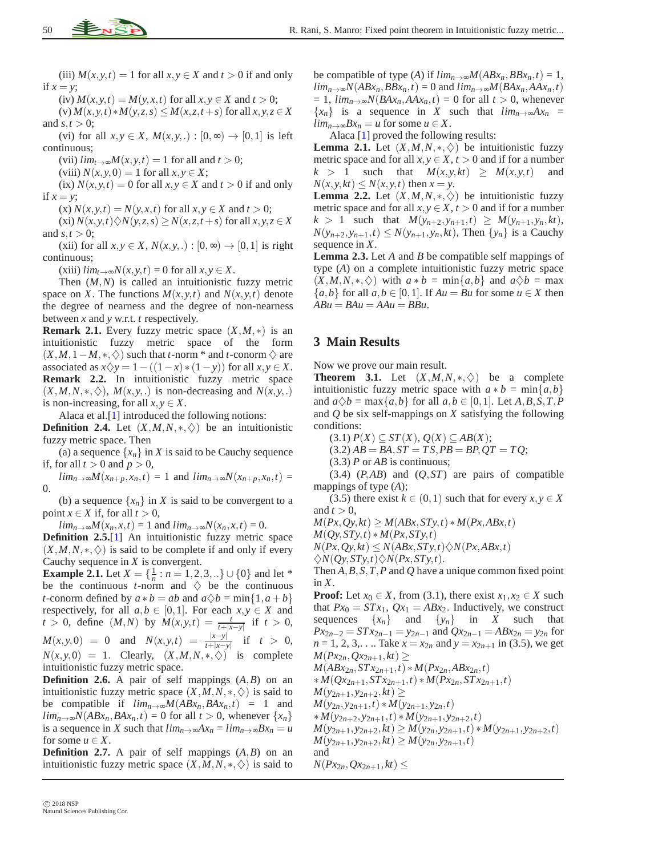(iii)  $M(x, y, t) = 1$  for all  $x, y \in X$  and  $t > 0$  if and only if  $x = y$ ;

(iv)  $M(x, y, t) = M(y, x, t)$  for all  $x, y \in X$  and  $t > 0$ ;

(v) *M*(*x*,*y*,*t*)∗*M*(*y*,*z*,*s*) ≤ *M*(*x*,*z*,*t* +*s*) for all *x*,*y*,*z* ∈*X* and  $s, t > 0$ ;

(vi) for all  $x, y \in X$ ,  $M(x, y,.) : [0, \infty) \to [0, 1]$  is left continuous;

(vii)  $\lim_{t\to\infty}M(x, y, t) = 1$  for all and  $t > 0$ ;

 $(viii) N(x, y, 0) = 1$  for all  $x, y \in X$ ;

(ix)  $N(x, y, t) = 0$  for all  $x, y \in X$  and  $t > 0$  if and only if  $x = y$ ;

 $(X) N(x, y, t) = N(y, x, t)$  for all  $x, y \in X$  and  $t > 0$ ;

 $N(x, y, t) \diamond N(y, z, s) \geq N(x, z, t + s)$  for all  $x, y, z \in X$ and  $s, t > 0$ ;

(xii) for all  $x, y \in X$ ,  $N(x, y, .) : [0, \infty) \to [0, 1]$  is right continuous;

 $(i$ iii)  $\lim_{t\to\infty}N(x, y, t)=0$  for all  $x, y \in X$ .

Then (*M*,*N*) is called an intuitionistic fuzzy metric space on *X*. The functions  $M(x, y, t)$  and  $N(x, y, t)$  denote the degree of nearness and the degree of non-nearness between *x* and *y* w.r.t. *t* respectively.

**Remark 2.1.** Every fuzzy metric space  $(X, M, *)$  is an intuitionistic fuzzy metric space of the form  $(X, M, 1-M, *, \diamondsuit)$  such that *t*-norm \* and *t*-conorm  $\diamondsuit$  are associated as  $x \diamond y = 1 - ((1 - x) * (1 - y))$  for all  $x, y \in X$ . **Remark 2.2.** In intuitionistic fuzzy metric space  $(X, M, N, *, \diamondsuit)$ ,  $M(x, y, .)$  is non-decreasing and  $N(x, y, .)$ is non-increasing, for all  $x, y \in X$ .

Alaca et al.[\[1\]](#page-3-1) introduced the following notions:

**Definition 2.4.** Let  $(X, M, N, *, \diamondsuit)$  be an intuitionistic fuzzy metric space. Then

(a) a sequence  $\{x_n\}$  in *X* is said to be Cauchy sequence if, for all  $t > 0$  and  $p > 0$ ,

 $\lim_{n \to \infty} M(x_{n+p}, x_n, t) = 1$  and  $\lim_{n \to \infty} N(x_{n+p}, x_n, t) =$ 0.

(b) a sequence  $\{x_n\}$  in *X* is said to be convergent to a point  $x \in X$  if, for all  $t > 0$ ,

 $\lim_{n\to\infty}M(x_n,x,t)=1$  and  $\lim_{n\to\infty}N(x_n,x,t)=0$ .

**Definition 2.5.**[\[1\]](#page-3-1) An intuitionistic fuzzy metric space  $(X, M, N, *, \diamondsuit)$  is said to be complete if and only if every Cauchy sequence in *X* is convergent.

**Example 2.1.** Let  $X = \{\frac{1}{n} : n = 1, 2, 3, ...\} \cup \{0\}$  and let \* be the continuous  $t$ -norm and  $\diamondsuit$  be the continuous *t*-conorm defined by  $a * b = ab$  and  $a \diamond b = min\{1, a+b\}$ respectively, for all  $a, b \in [0, 1]$ . For each  $x, y \in X$  and  $t > 0$ , define  $(M,N)$  by  $M(x,y,t) = \frac{t}{t+|x-y|}$  if  $t > 0$ ,  $M(x, y, 0) = 0$  and  $N(x, y, t) = \frac{|x-y|}{t+|x-y|}$  if  $t > 0$ ,  $N(x, y, 0) = 1$ . Clearly,  $(X, M, N, *, \diamondsuit)$  is complete intuitionistic fuzzy metric space.

**Definition 2.6.** A pair of self mappings (*A*,*B*) on an intuitionistic fuzzy metric space  $(X, M, N, *, \diamond)$  is said to be compatible if  $lim_{n\to\infty}M(ABx_n,BAx_n,t) = 1$  and  $\lim_{n\to\infty} N(ABx_n, BAx_n, t) = 0$  for all  $t > 0$ , whenever  $\{x_n\}$ is a sequence in *X* such that  $\lim_{n\to\infty} Ax_n = \lim_{n\to\infty} Bx_n = u$ for some  $u \in X$ .

**Definition 2.7.** A pair of self mappings (*A*,*B*) on an intuitionistic fuzzy metric space  $(X, M, N, *, \diamondsuit)$  is said to be compatible of type (*A*) if  $\lim_{n\to\infty} M(ABx_n, BBx_n, t) = 1$ ,  $\lim_{n\to\infty} N(ABx_n, BBx_n, t) = 0$  and  $\lim_{n\to\infty} M(BAx_n, AAx_n, t)$  $= 1$ ,  $\lim_{n\to\infty} N(BAx_n, AAx_n, t) = 0$  for all  $t > 0$ , whenever  ${x_n}$  is a sequence in *X* such that  $\lim_{n\to\infty} Ax_n$  =  $\lim_{n\to\infty} Bx_n = u$  for some  $u \in X$ .

Alaca [\[1\]](#page-3-1) proved the following results:

**Lemma 2.1.** Let  $(X, M, N, *, \diamondsuit)$  be intuitionistic fuzzy metric space and for all  $x, y \in X, t > 0$  and if for a number  $k > 1$  such that  $M(x, y, kt) \geq M(x, y, t)$  and  $N(x, y, kt) \leq N(x, y, t)$  then  $x = y$ .

**Lemma 2.2.** Let  $(X, M, N, *, \diamondsuit)$  be intuitionistic fuzzy metric space and for all  $x, y \in X, t > 0$  and if for a number  $k > 1$  such that  $M(y_{n+2}, y_{n+1}, t) \geq M(y_{n+1}, y_n, kt)$ ,  $N(y_{n+2}, y_{n+1}, t) \leq N(y_{n+1}, y_n, kt)$ , Then  $\{y_n\}$  is a Cauchy sequence in *X*.

**Lemma 2.3.** Let *A* and *B* be compatible self mappings of type (*A*) on a complete intuitionistic fuzzy metric space  $(X, M, N, *, \diamondsuit)$  with  $a * b = \min\{a, b\}$  and  $a \diamondsuit b = \max$  ${a,b}$  for all  $a,b \in [0,1]$ . If  $Au = Bu$  for some  $u \in X$  then  $ABu = BAu = AAu = BBu$ .

### **3 Main Results**

Now we prove our main result.

**Theorem 3.1.** Let  $(X, M, N, *, \diamondsuit)$  be a complete intuitionistic fuzzy metric space with  $a * b = \min\{a, b\}$ and  $a \diamondsuit b = \max\{a, b\}$  for all  $a, b \in [0, 1]$ . Let  $A, B, S, T, P$ and *Q* be six self-mappings on *X* satisfying the following conditions:

 $(3.1)$   $P(X) \subseteq ST(X), Q(X) \subseteq AB(X);$ 

 $(3.2)$   $AB = BA$ ,  $ST = TS$ ,  $PB = BP$ ,  $QT = TQ$ ;

(3.3) *P* or *AB* is continuous;

(3.4) (*P*,*AB*) and (*Q*,*ST*) are pairs of compatible mappings of type (*A*);

(3.5) there exist  $k \in (0,1)$  such that for every  $x, y \in X$ and  $t > 0$ ,

 $M(Px, Qy, kt) \geq M(ABx, STy, t) * M(Px, ABx, t)$ 

 $M(Qy, STy,t) * M(Px, STy,t)$ 

 $N(Px, Qy, kt) \leq N(ABx, STy, t) \diamondsuit N(Px, ABx, t)$ 

 $\Diamond N(Qy, STy,t) \Diamond N(Px, STy,t).$ 

Then *A*,*B*,*S*,*T*,*P* and *Q* have a unique common fixed point in *X*.

**Proof:** Let  $x_0 \in X$ , from (3.1), there exist  $x_1, x_2 \in X$  such that  $Px_0 = STx_1$ ,  $Qx_1 = ABx_2$ . Inductively, we construct sequences  $\{x_n\}$  and  $\{y_n\}$  in *X* such that  $Px_{2n-2} = STx_{2n-1} = y_{2n-1}$  and  $Qx_{2n-1} = ABx_{2n} = y_{2n}$  for  $n = 1, 2, 3, \ldots$  Take  $x = x_{2n}$  and  $y = x_{2n+1}$  in (3.5), we get *M*(*Px*<sub>2*n*</sub>, *Qx*<sub>2*n*+1</sub>,*kt*) ≥  $M(ABx_{2n}, STx_{2n+1}, t) * M(Px_{2n}, ABx_{2n}, t)$ 

∗ *M*(*Qx*2*n*+1,*STx*2*n*+1,*t*) ∗ *M*(*Px*2*n*,*STx*2*n*+1,*t*)

*M*(*y*<sub>2*n*+1</sub>*,y*<sub>2*n*+2</sub>*,kt*) ≥

 $M(y_{2n}, y_{2n+1}, t) * M(y_{2n+1}, y_{2n}, t)$ 

and

*N*(*Px*<sub>2*n*</sub>, *Qx*<sub>2*n*+1</sub>,*kt*) ≤

∗ *M*(*y*2*n*+2,*y*2*n*+1,*t*) ∗ *M*(*y*2*n*+1,*y*2*n*+2,*t*)

 $M(y_{2n+1}, y_{2n+2}, kt) \geq M(y_{2n}, y_{2n+1}, t) * M(y_{2n+1}, y_{2n+2}, t)$  $M(y_{2n+1}, y_{2n+2}, kt) \geq M(y_{2n}, y_{2n+1}, t)$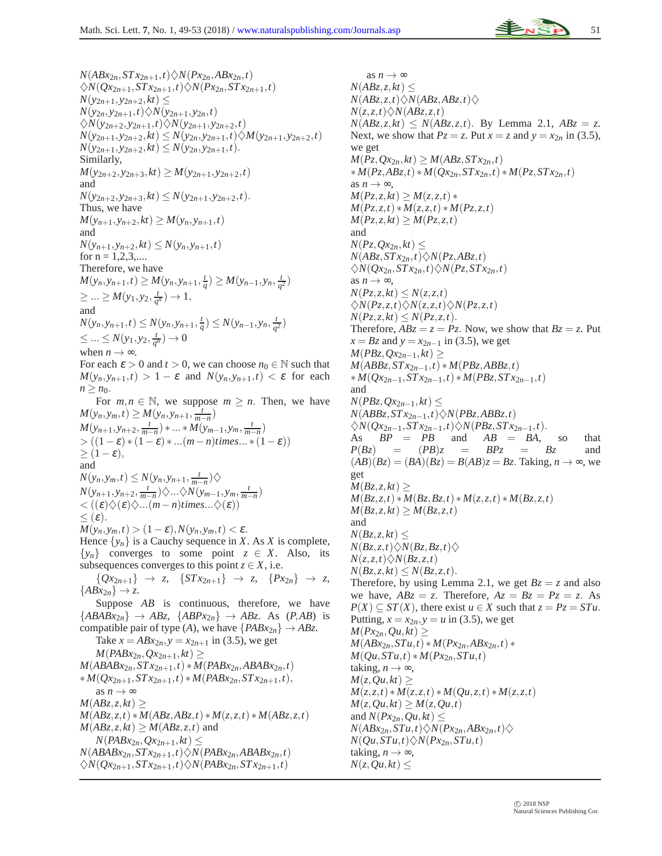$N(ABx_{2n}, STx_{2n+1}, t) \diamondsuit N(Px_{2n}, ABx_{2n}, t)$  $\Diamond N(Qx_{2n+1},STx_{2n+1},t)\Diamond N(Px_{2n},STx_{2n+1},t)$ *N*(*y*<sub>2*n*+1</sub>,*y*<sub>2*n*+2</sub>,*kt*) ≤  $N(y_{2n}, y_{2n+1}, t) \diamond N(y_{2n+1}, y_{2n}, t)$  $\Diamond N(y_{2n+2}, y_{2n+1}, t) \Diamond N(y_{2n+1}, y_{2n+2}, t)$  $N(y_{2n+1}, y_{2n+2}, kt) \leq N(y_{2n}, y_{2n+1}, t) \diamondsuit M(y_{2n+1}, y_{2n+2}, t)$  $N(y_{2n+1}, y_{2n+2}, kt) \leq N(y_{2n}, y_{2n+1}, t).$ Similarly,  $M(y_{2n+2}, y_{2n+3}, kt) \geq M(y_{2n+1}, y_{2n+2}, t)$ and  $N(y_{2n+2}, y_{2n+3}, kt) \leq N(y_{2n+1}, y_{2n+2}, t).$ Thus, we have  $M(y_{n+1}, y_{n+2}, kt) \geq M(y_n, y_{n+1}, t)$ and  $N(y_{n+1}, y_{n+2}, kt) \leq N(y_n, y_{n+1}, t)$ for  $n = 1, 2, 3, \dots$ Therefore, we have  $M(y_n, y_{n+1}, t) \geq M(y_n, y_{n+1}, \frac{t}{q}) \geq M(y_{n-1}, y_n, \frac{t}{q})$  $\frac{t}{q^2}$  $\geq ... \geq M(y_1, y_2, \frac{t}{q^n}) \to 1,$ and  $N(y_n, y_{n+1}, t) \leq N(y_n, y_{n+1}, \frac{t}{q}) \leq N(y_{n-1}, y_n, \frac{t}{q})$  $(\frac{t}{q^2})$ ≤ ... ≤  $N(y_1, y_2, \frac{t}{q^n})$  → 0 when  $n \to \infty$ . For each  $\varepsilon > 0$  and  $t > 0$ , we can choose  $n_0 \in \mathbb{N}$  such that  $M(y_n, y_{n+1}, t) > 1 - \varepsilon$  and  $N(y_n, y_{n+1}, t) < \varepsilon$  for each  $n \geq n_0$ . For  $m, n \in \mathbb{N}$ , we suppose  $m \geq n$ . Then, we have  $M(y_n, y_m, t) \geq M(y_n, y_{n+1}, \frac{t}{m-n})$  $M(y_{n+1}, y_{n+2}, \frac{t}{m-n}) * ... * M(y_{m-1}, y_m, \frac{t}{m-n})$ > ((1−ε) ∗ (1−ε) ∗ ...(*m*−*n*)*times*... ∗ (1−ε))  $>$   $(1-\varepsilon)$ , and  $N(y_n, y_m, t) \leq N(y_n, y_{n+1}, \frac{t}{m-n})\diamondsuit$  $N(y_{n+1}, y_{n+2}, \frac{t}{m-n}) \diamondsuit ... \diamondsuit N(y_{m-1}, y_m, \frac{t}{m-n})$  $< ((\varepsilon) \diamondsuit (\varepsilon) \diamondsuit ... (m-n)$ *times*... $\diamondsuit (\varepsilon))$  $\leq$  ( $\varepsilon$ ).  $M(y_n, y_m, t) > (1 - \varepsilon), N(y_n, y_m, t) < \varepsilon.$ Hence  $\{y_n\}$  is a Cauchy sequence in *X*. As *X* is complete,  ${y_n}$  converges to some point  $z \in X$ . Also, its subsequences converges to this point  $z \in X$ , i.e.  ${Qx_{2n+1}} \rightarrow z$ ,  ${STx_{2n+1}} \rightarrow z$ ,  ${Px_{2n}} \rightarrow z$ ,  ${ABx_{2n}} \rightarrow z.$ Suppose *AB* is continuous, therefore, we have  ${ABABx_{2n}} \rightarrow ABz$ ,  ${ABPx_{2n}} \rightarrow ABz$ . As  $(P, AB)$  is compatible pair of type (*A*), we have  $\{PABx_{2n}\}\rightarrow ABz$ . Take  $x = ABx_{2n}$ ,  $y = x_{2n+1}$  in (3.5), we get *M*(*PABx*<sub>2*n*</sub>, *Qx*<sub>2*n*+1</sub>,*kt*) ≥  $M(ABABx_{2n}, STx_{2n+1}, t) * M(PABx_{2n}, ABABx_{2n}, t)$  $* M(Qx_{2n+1}, STx_{2n+1}, t) * M(PABx_{2n}, STx_{2n+1}, t),$ as  $n \to \infty$  $M(ABz, z, kt) \geq$  $M(ABz, z, t) * M(ABz, ABz, t) * M(z, z, t) * M(ABz, z, t)$  $M(ABz, z, kt) \geq M(ABz, z, t)$  and *N*(*PABx*<sub>2*n*</sub>, *Qx*<sub>2*n*+1</sub>,*kt*) ≤  $N(ABABx_{2n}, STx_{2n+1}, t) \diamondsuit N(PABx_{2n}, ABABx_{2n}, t)$  $\Diamond N(Qx_{2n+1},STx_{2n+1},t)\Diamond N(PABx_{2n},STx_{2n+1},t)$ 

as  $n \to \infty$  $N(ABz, z, kt) \leq$  $N(ABz, z, t) \diamondsuit N(ABz, ABz, t) \diamondsuit$  $N(z, z, t) \diamondsuit N(ABz, z, t)$  $N(ABz, z, kt) \leq N(ABz, z, t)$ . By Lemma 2.1,  $ABz = z$ . Next, we show that  $Pz = z$ . Put  $x = z$  and  $y = x_{2n}$  in (3.5), we get  $M(P_{Z}, Qx_{2n}, kt) \geq M(AB_{Z}, STx_{2n}, t)$ ∗ *M*(*Pz*,*ABz*,*t*) ∗ *M*(*Qx*2*n*,*STx*2*n*,*t*) ∗ *M*(*Pz*,*STx*2*n*,*t*) as  $n \to \infty$ , *M*(*Pz*,*z*,*kt*) ≥ *M*(*z*,*z*,*t*)  $*$  $M(Pz, z, t) * M(z, z, t) * M(Pz, z, t)$  $M(Pz, z, kt) \geq M(Pz, z, t)$ and  $N(P_z, Q_{x2n}, kt)$  <  $N(ABz, STx_{2n}, t) \diamondsuit N(Pz, ABz, t)$  $\Diamond N(Qx_{2n},STx_{2n},t)\Diamond N(Pz,STx_{2n},t)$ as  $n \rightarrow \infty$ ,  $N(P_{z_1}, z, kt) \leq N(z_1, z, t)$  $\Diamond N(Pz, z, t) \Diamond N(z, z, t) \Diamond N(Pz, z, t)$  $N(Pz, z, kt) \leq N(Pz, z, t).$ Therefore,  $ABz = z = Pz$ . Now, we show that  $Bz = z$ . Put  $x = Bz$  and  $y = x_{2n-1}$  in (3.5), we get  $M(PBz, Qx_{2n-1}, kt) \geq$ *M*(*ABBz*,*STx*2*n*−1,*t*) ∗ *M*(*PBz*,*ABBz*,*t*) ∗ *M*(*Qx*2*n*−1,*STx*2*n*−1,*t*) ∗ *M*(*PBz*,*STx*2*n*−1,*t*) and  $N(PBz, Qx_{2n-1}, kt) \leq$ *N*(*ABBz*,*STx*2*n*−1,*t*)♦*N*(*PBz*,*ABBz*,*t*)  $\Diamond N(Qx_{2n-1},STx_{2n-1},t)\Diamond N(PBz,STx_{2n-1},t).$ <br>As  $BP = PB$  and  $AB = BA$ , As  $BP = PB$  and  $AB = BA$ , so that  $P(Bz) = (PB)z = BPz = BPz$  and  $P(Bz) = (PB)z = BPz = Bz$  and  $(AB)(Bz) = (BA)(Bz) = B(AB)z = Bz$ . Taking,  $n \to \infty$ , we get  $M(Bz, z, kt) \geq$  $M(Bz, z, t) * M(Bz, Bz, t) * M(z, z, t) * M(Bz, z, t)$  $M(Bz, z, kt) \geq M(Bz, z, t)$ and  $N(Bz, z, kt) \leq$  $N(Bz, z, t) \diamondsuit N(Bz, Bz, t) \diamondsuit$  $N(z, z, t) \diamondsuit N(Bz, z, t)$  $N(Bz, z, kt) \leq N(Bz, z, t).$ Therefore, by using Lemma 2.1, we get  $Bz = z$  and also we have,  $ABz = z$ . Therefore,  $Az = Bz = Pz = z$ . As  $P(X) \subseteq \text{ST}(X)$ , there exist  $u \in X$  such that  $z = Pz = \text{ST}u$ . Putting,  $x = x_{2n}$ ,  $y = u$  in (3.5), we get  $M(Px_{2n}, Qu,kt) \geq$  $M(ABx_{2n},STu,t) * M(Px_{2n},ABx_{2n},t) *$  $M(Qu, STu,t) * M(Px_{2n},STu,t)$ taking,  $n \rightarrow \infty$ ,  $M(z, Qu,kt) \geq$  $M(z, z, t) * M(z, z, t) * M(Qu, z, t) * M(z, z, t)$  $M(z, Qu,kt) > M(z, Qu, t)$ and  $N(Px_{2n}, Qu,kt) \leq$  $N(ABx_{2n},STu,t)\diamondsuit N(Px_{2n},ABx_{2n},t)\diamondsuit$  $N(Qu, STu,t) \diamondsuit N(Px_{2n},STu,t)$ taking,  $n \rightarrow \infty$ ,  $N(z, Qu, kt) \leq$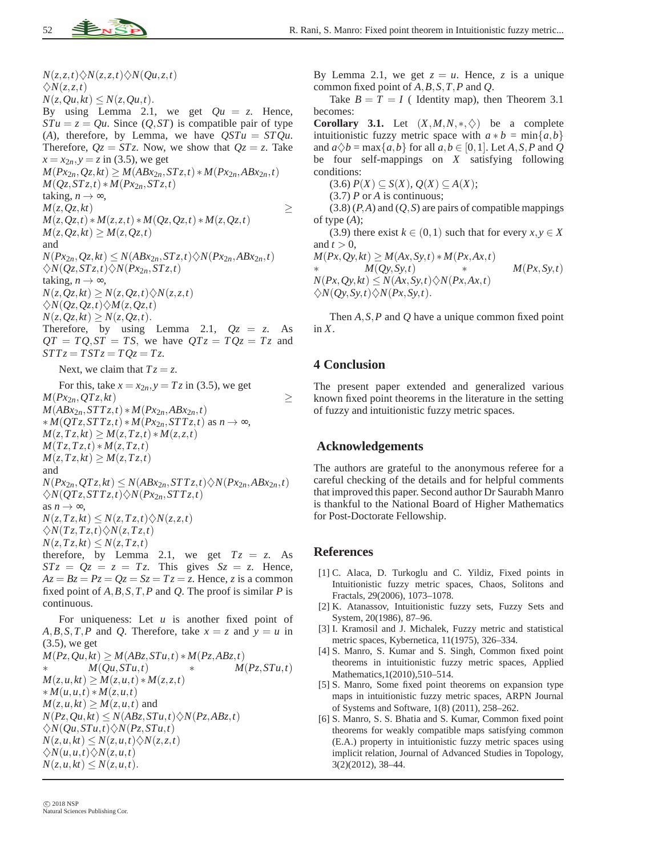$N(z, z, t) \diamondsuit N(z, z, t) \diamondsuit N(Qu, z, t)$  $\Diamond N(z,z,t)$  $N(z, Qu,kt) \leq N(z, Qu, t).$ By using Lemma 2.1, we get  $Qu = z$ . Hence,  $STu = z = Qu$ . Since  $(Q, ST)$  is compatible pair of type (*A*), therefore, by Lemma, we have  $QSTu = STQu$ . Therefore,  $Qz = STz$ . Now, we show that  $Qz = z$ . Take  $x = x_{2n}$ ,  $y = z$  in (3.5), we get  $M(Px_{2n}, Qz, kt) \geq M(ABx_{2n}, STz, t) * M(Px_{2n}, ABx_{2n}, t)$  $M(Qz, STz,t) * M(Px_{2n}, STz,t)$ taking,  $n \rightarrow \infty$ ,  $M(z, Qz, kt)$   $\geq$  $M(z, Qz, t) * M(z, z, t) * M(Qz, Qz, t) * M(z, Qz, t)$  $M(z, Qz, kt) \geq M(z, Qz, t)$ and  $N(Px_{2n}, Qz, kt) \leq N(ABx_{2n}, STz, t) \diamondsuit N(Px_{2n}, ABx_{2n}, t)$  $\Diamond N(Qz, STz,t) \Diamond N(Px_{2n}, STz,t)$ taking,  $n \rightarrow \infty$ ,  $N(z, Qz, kt) \geq N(z, Qz, t) \diamondsuit N(z, z, t)$  $\Diamond N(Qz, Qz, t) \Diamond M(z, Qz, t)$  $N(z, Qz, kt) \geq N(z, Qz, t).$ Therefore, by using Lemma 2.1,  $Qz = z$ . As  $QT = TQ, ST = TS$ , we have  $QTz = TQz = Tz$  and  $STTz = TSTz = TQz = Tz$ . Next, we claim that  $Tz = z$ . For this, take  $x = x_{2n}$ ,  $y = Tz$  in (3.5), we get  $M(Px_{2n}, QTz,kt)$  ≥  $M(ABx_{2n},STTz,t) * M(Px_{2n},ABx_{2n},t)$ ∗ *M*(*QTz*,*ST Tz*,*t*) ∗ *M*(*Px*2*n*,*STT z*,*t*) as *n* → ∞, *M*(*z*,*Tz*,*kt*) ≥ *M*(*z*,*Tz*,*t*) ∗ *M*(*z*,*z*,*t*)  $M(Tz, Tz,t) * M(z, Tz,t)$  $M(z, Tz, kt) \geq M(z, Tz, t)$ and  $N(Px_{2n}, QTz,kt) \leq N(ABx_{2n},STTz,t) \diamondsuit N(Px_{2n},ABx_{2n},t)$  $\Diamond N(QT_z,STT_z,t)\Diamond N(Px_{2n},STT_z,t)$ 

as  $n \to \infty$ ,

$$
N(z, Tz, kt) \leq N(z, Tz, t) \diamondsuit N(z, z, t)
$$
  
\n
$$
\diamondsuit N(Tz, Tz, t) \diamondsuit N(z, Tz, t)
$$
  
\n
$$
N(z, Tz, kt) \leq N(z, Tz, t)
$$

therefore, by Lemma 2.1, we get  $Tz = z$ . As  $STz = Qz = z = Tz$ . This gives  $Sz = z$ . Hence,  $Az = Bz = Pz = Qz = Sz = Tz = z$ . Hence, *z* is a common fixed point of *A*,*B*,*S*,*T*,*P* and *Q*. The proof is similar *P* is continuous.

For uniqueness: Let *u* is another fixed point of  $A, B, S, T, P$  and *Q*. Therefore, take  $x = z$  and  $y = u$  in (3.5), we get  $M(P_{\mathcal{Z}}, Qu,kt) \geq M(AB_{\mathcal{Z}},STu,t) * M(P_{\mathcal{Z}},AB_{\mathcal{Z}},t)$ ∗ *M*(*Qu*,*STu*,*t*) ∗ *M*(*Pz*,*STu*,*t*)  $M(z, u, kt) \geq M(z, u, t) * M(z, z, t)$ ∗ *M*(*u*,*u*,*t*) ∗ *M*(*z*,*u*,*t*)  $M(z, u, kt) \geq M(z, u, t)$  and  $N(Pz, Qu, kt) \leq N(ABz, STu, t) \diamondsuit N(Pz, ABz, t)$  $\Diamond N(Qu, STu,t) \Diamond N(Pz, STu,t)$  $N(z, u, kt) \leq N(z, u, t) \diamondsuit N(z, z, t)$  $\Diamond N(u, u, t) \Diamond N(z, u, t)$  $N(z, u, kt) \leq N(z, u, t).$ 

By Lemma 2.1, we get  $z = u$ . Hence, z is a unique common fixed point of *A*,*B*,*S*,*T*,*P* and *Q*.

Take  $B = T = I$  ( Identity map), then Theorem 3.1 becomes:

**Corollary 3.1.** Let  $(X, M, N, *, \diamondsuit)$  be a complete intuitionistic fuzzy metric space with  $a * b = \min\{a, b\}$ and  $a \Diamond b = \max\{a, b\}$  for all  $a, b \in [0, 1]$ . Let  $A, S, P$  and  $Q$ be four self-mappings on *X* satisfying following conditions:

 $(3.6)$   $P(X) \subseteq S(X)$ ,  $Q(X) \subseteq A(X)$ ; (3.7) *P* or *A* is continuous;

 $(3.8)$   $(P,A)$  and  $(Q, S)$  are pairs of compatible mappings of type (*A*);

(3.9) there exist  $k \in (0,1)$  such that for every  $x, y \in X$ and  $t > 0$ ,

$$
M(Px, Qy, kt) \ge M(Ax, Sy, t) * M(Px, Ax, t)
$$
  
\n
$$
M(Qy, Sy, t) * M(Px, Qy, kt) \le N(Ax, Sy, t) \diamond N(Px, Ax, t)
$$
  
\n
$$
M(Px, Qy, kt) \le N(Ax, Sy, t) \diamond N(Px, Ax, t)
$$
  
\n
$$
\diamond N(Qy, Sy, t) \diamond N(Px, Sy, t).
$$

Then *A*,*S*,*P* and *Q* have a unique common fixed point in *X*.

### **4 Conclusion**

The present paper extended and generalized various known fixed point theorems in the literature in the setting of fuzzy and intuitionistic fuzzy metric spaces.

#### **Acknowledgements**

The authors are grateful to the anonymous referee for a careful checking of the details and for helpful comments that improved this paper. Second author Dr Saurabh Manro is thankful to the National Board of Higher Mathematics for Post-Doctorate Fellowship.

## <span id="page-3-1"></span>**References**

- [1] C. Alaca, D. Turkoglu and C. Yildiz, Fixed points in Intuitionistic fuzzy metric spaces, Chaos, Solitons and Fractals, 29(2006), 1073–1078.
- <span id="page-3-0"></span>[2] K. Atanassov, Intuitionistic fuzzy sets, Fuzzy Sets and System, 20(1986), 87–96.
- <span id="page-3-2"></span>[3] I. Kramosil and J. Michalek, Fuzzy metric and statistical metric spaces, Kybernetica, 11(1975), 326–334.
- <span id="page-3-3"></span>[4] S. Manro, S. Kumar and S. Singh, Common fixed point theorems in intuitionistic fuzzy metric spaces, Applied Mathematics,1(2010),510–514.
- [5] S. Manro, Some fixed point theorems on expansion type maps in intuitionistic fuzzy metric spaces, ARPN Journal of Systems and Software, 1(8) (2011), 258–262.
- [6] S. Manro, S. S. Bhatia and S. Kumar, Common fixed point theorems for weakly compatible maps satisfying common (E.A.) property in intuitionistic fuzzy metric spaces using implicit relation, Journal of Advanced Studies in Topology, 3(2)(2012), 38–44.